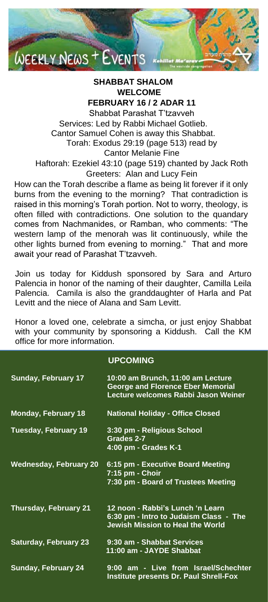

# **SHABBAT SHALOM WELCOME**

**FEBRUARY 16 / 2 ADAR 11**

Shabbat Parashat T'tzavveh Services: Led by Rabbi Michael Gotlieb. Cantor Samuel Cohen is away this Shabbat. Torah: Exodus 29:19 (page 513) read by Cantor Melanie Fine Haftorah: Ezekiel 43:10 (page 519) chanted by Jack Roth

Greeters: Alan and Lucy Fein

How can the Torah describe a flame as being lit forever if it only burns from the evening to the morning? That contradiction is raised in this morning's Torah portion. Not to worry, theology, is often filled with contradictions. One solution to the quandary comes from Nachmanides, or Ramban, who comments: "The western lamp of the menorah was lit continuously, while the other lights burned from evening to morning." That and more await your read of Parashat T'tzavveh.

Join us today for Kiddush sponsored by Sara and Arturo Palencia in honor of the naming of their daughter, Camilla Leila Palencia. Camila is also the granddaughter of Harla and Pat Levitt and the niece of Alana and Sam Levitt.

Honor a loved one, celebrate a simcha, or just enjoy Shabbat with your community by sponsoring a Kiddush. Call the KM office for more information.

#### **UPCOMING**

| <b>Sunday, February 17</b>   | 10:00 am Brunch, 11:00 am Lecture<br><b>George and Florence Eber Memorial</b><br>Lecture welcomes Rabbi Jason Weiner |
|------------------------------|----------------------------------------------------------------------------------------------------------------------|
| <b>Monday, February 18</b>   | <b>National Holiday - Office Closed</b>                                                                              |
| Tuesday, February 19         | 3:30 pm - Religious School<br>Grades 2-7<br>4:00 pm - Grades K-1                                                     |
| Wednesday, February 20       | 6:15 pm - Executive Board Meeting<br>7:15 pm - Choir<br>7:30 pm - Board of Trustees Meeting                          |
| <b>Thursday, February 21</b> | 12 noon - Rabbi's Lunch 'n Learn<br>6:30 pm - Intro to Judaism Class - The<br>Jewish Mission to Heal the World       |
| <b>Saturday, February 23</b> | 9:30 am - Shabbat Services<br>11:00 am - JAYDE Shabbat                                                               |
| <b>Sunday, February 24</b>   | 9:00 am - Live from Israel/Schechter<br>Institute presents Dr. Paul Shrell-Fox                                       |